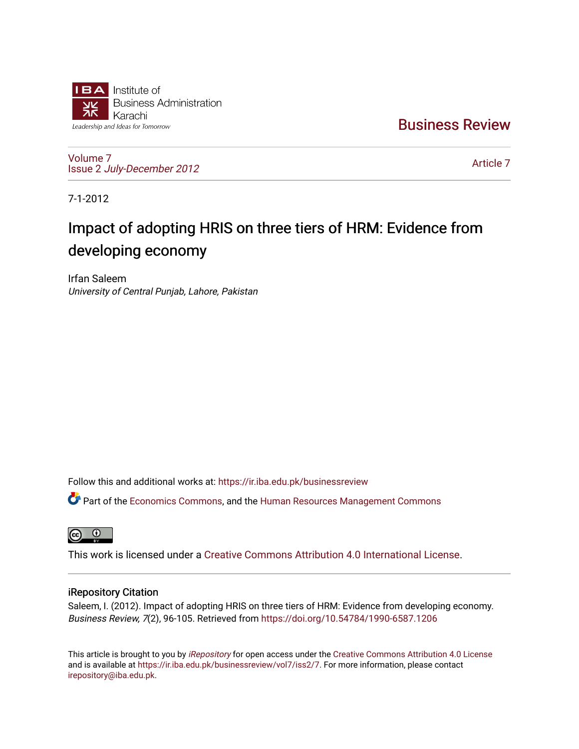

[Business Review](https://ir.iba.edu.pk/businessreview) 

[Volume 7](https://ir.iba.edu.pk/businessreview/vol7) Issue 2 [July-December 2012](https://ir.iba.edu.pk/businessreview/vol7/iss2)

[Article 7](https://ir.iba.edu.pk/businessreview/vol7/iss2/7) 

7-1-2012

# Impact of adopting HRIS on three tiers of HRM: Evidence from developing economy

Irfan Saleem University of Central Punjab, Lahore, Pakistan

Follow this and additional works at: [https://ir.iba.edu.pk/businessreview](https://ir.iba.edu.pk/businessreview?utm_source=ir.iba.edu.pk%2Fbusinessreview%2Fvol7%2Fiss2%2F7&utm_medium=PDF&utm_campaign=PDFCoverPages) 

Part of the [Economics Commons](http://network.bepress.com/hgg/discipline/340?utm_source=ir.iba.edu.pk%2Fbusinessreview%2Fvol7%2Fiss2%2F7&utm_medium=PDF&utm_campaign=PDFCoverPages), and the [Human Resources Management Commons](http://network.bepress.com/hgg/discipline/633?utm_source=ir.iba.edu.pk%2Fbusinessreview%2Fvol7%2Fiss2%2F7&utm_medium=PDF&utm_campaign=PDFCoverPages) 

**ම** 

This work is licensed under a [Creative Commons Attribution 4.0 International License](https://creativecommons.org/licenses/by/4.0/).

### iRepository Citation

Saleem, I. (2012). Impact of adopting HRIS on three tiers of HRM: Evidence from developing economy. Business Review, 7(2), 96-105. Retrieved from<https://doi.org/10.54784/1990-6587.1206>

This article is brought to you by [iRepository](https://ir.iba.edu.pk/) for open access under the Creative Commons Attribution 4.0 License and is available at [https://ir.iba.edu.pk/businessreview/vol7/iss2/7.](https://ir.iba.edu.pk/businessreview/vol7/iss2/7) For more information, please contact [irepository@iba.edu.pk.](mailto:irepository@iba.edu.pk)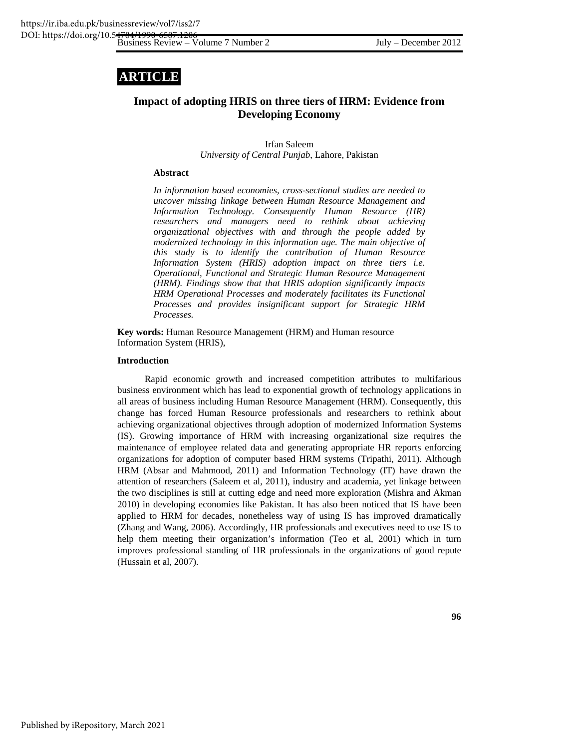## **ARTICLE**

## **Impact of adopting HRIS on three tiers of HRM: Evidence from Developing Economy**

Irfan Saleem *University of Central Punjab*, Lahore, Pakistan

#### **Abstract**

*In information based economies, cross-sectional studies are needed to uncover missing linkage between Human Resource Management and Information Technology. Consequently Human Resource (HR) researchers and managers need to rethink about achieving organizational objectives with and through the people added by modernized technology in this information age. The main objective of this study is to identify the contribution of Human Resource Information System (HRIS) adoption impact on three tiers i.e. Operational, Functional and Strategic Human Resource Management (HRM). Findings show that that HRIS adoption significantly impacts HRM Operational Processes and moderately facilitates its Functional Processes and provides insignificant support for Strategic HRM Processes.* 

**Key words:** Human Resource Management (HRM) and Human resource Information System (HRIS),

#### **Introduction**

Rapid economic growth and increased competition attributes to multifarious business environment which has lead to exponential growth of technology applications in all areas of business including Human Resource Management (HRM). Consequently, this change has forced Human Resource professionals and researchers to rethink about achieving organizational objectives through adoption of modernized Information Systems (IS). Growing importance of HRM with increasing organizational size requires the maintenance of employee related data and generating appropriate HR reports enforcing organizations for adoption of computer based HRM systems (Tripathi, 2011). Although HRM (Absar and Mahmood, 2011) and Information Technology (IT) have drawn the attention of researchers (Saleem et al, 2011), industry and academia, yet linkage between the two disciplines is still at cutting edge and need more exploration (Mishra and Akman 2010) in developing economies like Pakistan. It has also been noticed that IS have been applied to HRM for decades, nonetheless way of using IS has improved dramatically (Zhang and Wang, 2006). Accordingly, HR professionals and executives need to use IS to help them meeting their organization's information (Teo et al, 2001) which in turn improves professional standing of HR professionals in the organizations of good repute (Hussain et al, 2007).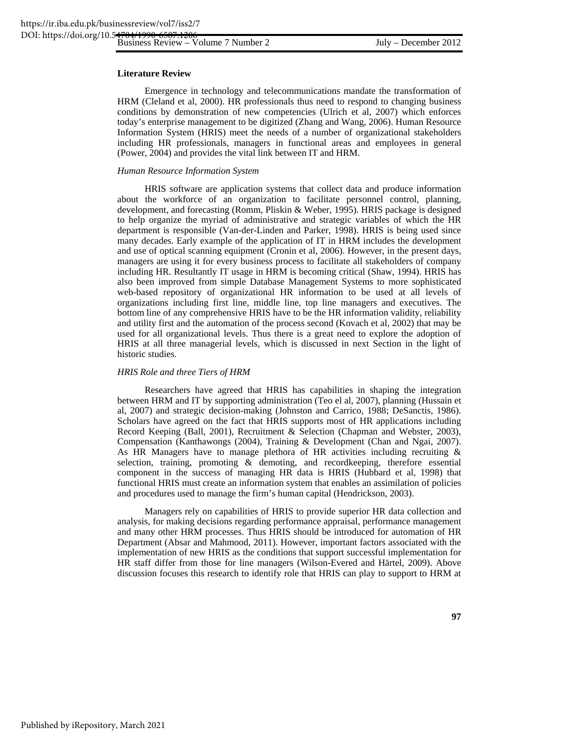#### **Literature Review**

Emergence in technology and telecommunications mandate the transformation of HRM (Cleland et al, 2000). HR professionals thus need to respond to changing business conditions by demonstration of new competencies (Ulrich et al, 2007) which enforces today's enterprise management to be digitized (Zhang and Wang, 2006). Human Resource Information System (HRIS) meet the needs of a number of organizational stakeholders including HR professionals, managers in functional areas and employees in general (Power, 2004) and provides the vital link between IT and HRM.

#### *Human Resource Information System*

HRIS software are application systems that collect data and produce information about the workforce of an organization to facilitate personnel control, planning, development, and forecasting (Romm, Pliskin & Weber, 1995). HRIS package is designed to help organize the myriad of administrative and strategic variables of which the HR department is responsible (Van-der-Linden and Parker, 1998). HRIS is being used since many decades. Early example of the application of IT in HRM includes the development and use of optical scanning equipment (Cronin et al, 2006). However, in the present days, managers are using it for every business process to facilitate all stakeholders of company including HR. Resultantly IT usage in HRM is becoming critical (Shaw, 1994). HRIS has also been improved from simple Database Management Systems to more sophisticated web-based repository of organizational HR information to be used at all levels of organizations including first line, middle line, top line managers and executives. The bottom line of any comprehensive HRIS have to be the HR information validity, reliability and utility first and the automation of the process second (Kovach et al, 2002) that may be used for all organizational levels. Thus there is a great need to explore the adoption of HRIS at all three managerial levels, which is discussed in next Section in the light of historic studies.

#### *HRIS Role and three Tiers of HRM*

Researchers have agreed that HRIS has capabilities in shaping the integration between HRM and IT by supporting administration (Teo el al, 2007), planning (Hussain et al, 2007) and strategic decision-making (Johnston and Carrico, 1988; DeSanctis, 1986). Scholars have agreed on the fact that HRIS supports most of HR applications including Record Keeping (Ball, 2001), Recruitment & Selection (Chapman and Webster, 2003), Compensation (Kanthawongs (2004), Training & Development (Chan and Ngai, 2007). As HR Managers have to manage plethora of HR activities including recruiting  $\&$ selection, training, promoting & demoting, and recordkeeping, therefore essential component in the success of managing HR data is HRIS (Hubbard et al, 1998) that functional HRIS must create an information system that enables an assimilation of policies and procedures used to manage the firm's human capital (Hendrickson, 2003).

Managers rely on capabilities of HRIS to provide superior HR data collection and analysis, for making decisions regarding performance appraisal, performance management and many other HRM processes. Thus HRIS should be introduced for automation of HR Department (Absar and Mahmood, 2011). However, important factors associated with the implementation of new HRIS as the conditions that support successful implementation for HR staff differ from those for line managers (Wilson-Evered and Härtel, 2009). Above discussion focuses this research to identify role that HRIS can play to support to HRM at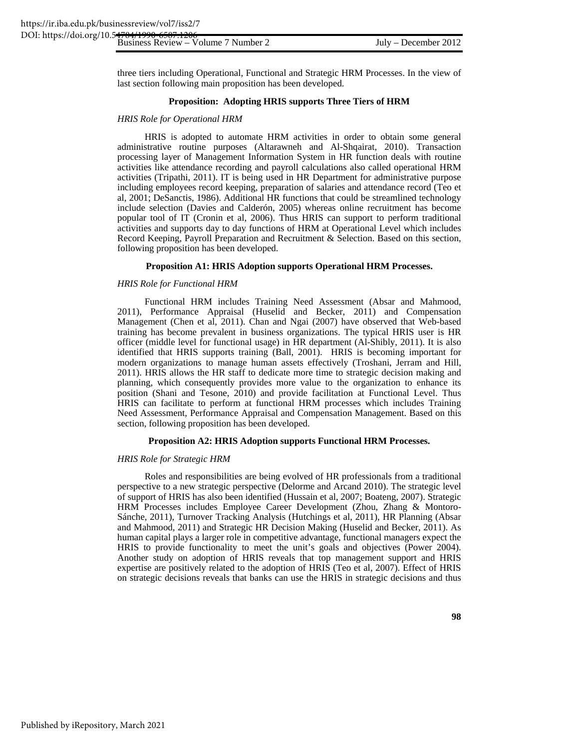three tiers including Operational, Functional and Strategic HRM Processes. In the view of last section following main proposition has been developed.

#### **Proposition: Adopting HRIS supports Three Tiers of HRM**

#### *HRIS Role for Operational HRM*

HRIS is adopted to automate HRM activities in order to obtain some general administrative routine purposes (Altarawneh and Al-Shqairat, 2010). Transaction processing layer of Management Information System in HR function deals with routine activities like attendance recording and payroll calculations also called operational HRM activities (Tripathi, 2011). IT is being used in HR Department for administrative purpose including employees record keeping, preparation of salaries and attendance record (Teo et al, 2001; DeSanctis, 1986). Additional HR functions that could be streamlined technology include selection (Davies and Calderón, 2005) whereas online recruitment has become popular tool of IT (Cronin et al, 2006). Thus HRIS can support to perform traditional activities and supports day to day functions of HRM at Operational Level which includes Record Keeping, Payroll Preparation and Recruitment & Selection. Based on this section, following proposition has been developed.

#### **Proposition A1: HRIS Adoption supports Operational HRM Processes.**

#### *HRIS Role for Functional HRM*

Functional HRM includes Training Need Assessment (Absar and Mahmood, 2011), Performance Appraisal (Huselid and Becker, 2011) and Compensation Management (Chen et al, 2011). Chan and Ngai (2007) have observed that Web-based training has become prevalent in business organizations. The typical HRIS user is HR officer (middle level for functional usage) in HR department (Al-Shibly, 2011). It is also identified that HRIS supports training (Ball, 2001). HRIS is becoming important for modern organizations to manage human assets effectively (Troshani, Jerram and Hill, 2011). HRIS allows the HR staff to dedicate more time to strategic decision making and planning, which consequently provides more value to the organization to enhance its position (Shani and Tesone, 2010) and provide facilitation at Functional Level. Thus HRIS can facilitate to perform at functional HRM processes which includes Training Need Assessment, Performance Appraisal and Compensation Management. Based on this section, following proposition has been developed.

#### **Proposition A2: HRIS Adoption supports Functional HRM Processes.**

#### *HRIS Role for Strategic HRM*

Roles and responsibilities are being evolved of HR professionals from a traditional perspective to a new strategic perspective (Delorme and Arcand 2010). The strategic level of support of HRIS has also been identified (Hussain et al, 2007; Boateng, 2007). Strategic HRM Processes includes Employee Career Development (Zhou, Zhang & Montoro-Sánche, 2011), Turnover Tracking Analysis (Hutchings et al, 2011), HR Planning (Absar and Mahmood, 2011) and Strategic HR Decision Making (Huselid and Becker, 2011). As human capital plays a larger role in competitive advantage, functional managers expect the HRIS to provide functionality to meet the unit's goals and objectives (Power 2004). Another study on adoption of HRIS reveals that top management support and HRIS expertise are positively related to the adoption of HRIS (Teo et al, 2007). Effect of HRIS on strategic decisions reveals that banks can use the HRIS in strategic decisions and thus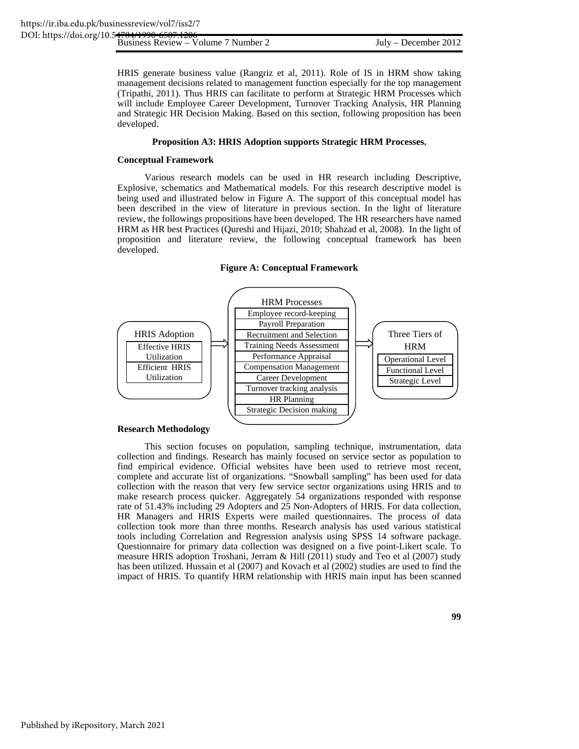HRIS generate business value (Rangriz et al, 2011). Role of IS in HRM show taking management decisions related to management function especially for the top management (Tripathi, 2011). Thus HRIS can facilitate to perform at Strategic HRM Processes which will include Employee Career Development, Turnover Tracking Analysis, HR Planning and Strategic HR Decision Making. Based on this section, following proposition has been developed.

#### **Proposition A3: HRIS Adoption supports Strategic HRM Processes.**

#### **Conceptual Framework**

Various research models can be used in HR research including Descriptive, Explosive, schematics and Mathematical models. For this research descriptive model is being used and illustrated below in Figure A. The support of this conceptual model has been described in the view of literature in previous section. In the light of literature review, the followings propositions have been developed. The HR researchers have named HRM as HR best Practices (Qureshi and Hijazi, 2010; Shahzad et al, 2008). In the light of proposition and literature review, the following conceptual framework has been developed.

**Figure A: Conceptual Framework** 



#### **Research Methodology**

This section focuses on population, sampling technique, instrumentation, data collection and findings. Research has mainly focused on service sector as population to find empirical evidence. Official websites have been used to retrieve most recent, complete and accurate list of organizations. "Snowball sampling" has been used for data collection with the reason that very few service sector organizations using HRIS and to make research process quicker. Aggregately 54 organizations responded with response rate of 51.43% including 29 Adopters and 25 Non-Adopters of HRIS. For data collection, HR Managers and HRIS Experts were mailed questionnaires. The process of data collection took more than three months. Research analysis has used various statistical tools including Correlation and Regression analysis using SPSS 14 software package. Questionnaire for primary data collection was designed on a five point-Likert scale. To measure HRIS adoption Troshani, Jerram & Hill (2011) study and Teo et al (2007) study has been utilized. Hussain et al (2007) and Kovach et al (2002) studies are used to find the impact of HRIS. To quantify HRM relationship with HRIS main input has been scanned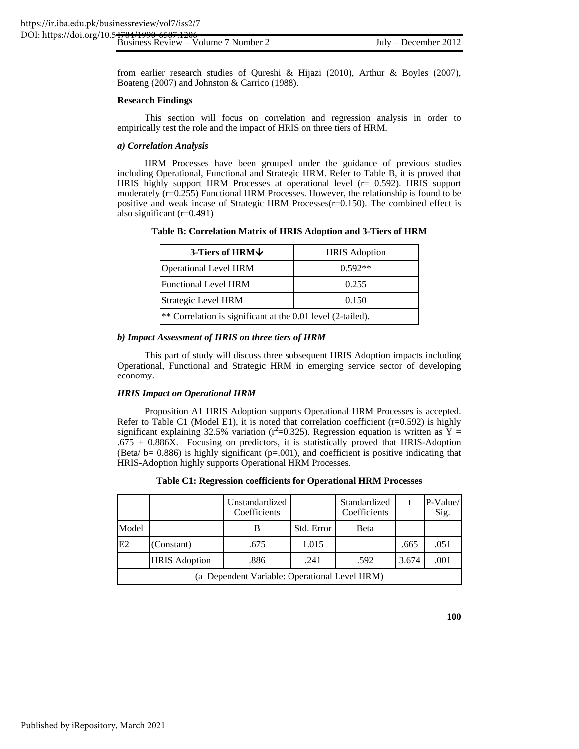from earlier research studies of Qureshi & Hijazi (2010), Arthur & Boyles (2007), Boateng (2007) and Johnston & Carrico (1988).

#### **Research Findings**

This section will focus on correlation and regression analysis in order to empirically test the role and the impact of HRIS on three tiers of HRM.

#### *a) Correlation Analysis*

HRM Processes have been grouped under the guidance of previous studies including Operational, Functional and Strategic HRM. Refer to Table B, it is proved that HRIS highly support HRM Processes at operational level (r= 0.592). HRIS support moderately (r=0.255) Functional HRM Processes. However, the relationship is found to be positive and weak incase of Strategic HRM Processes(r=0.150). The combined effect is also significant (r=0.491)

**Table B: Correlation Matrix of HRIS Adoption and 3-Tiers of HRM** 

| 3-Tiers of HRM↓                                             | <b>HRIS</b> Adoption |  |  |  |
|-------------------------------------------------------------|----------------------|--|--|--|
| <b>Operational Level HRM</b>                                | $0.592**$            |  |  |  |
| <b>Functional Level HRM</b>                                 | 0.255                |  |  |  |
| Strategic Level HRM<br>0.150                                |                      |  |  |  |
| ** Correlation is significant at the 0.01 level (2-tailed). |                      |  |  |  |

#### *b) Impact Assessment of HRIS on three tiers of HRM*

This part of study will discuss three subsequent HRIS Adoption impacts including Operational, Functional and Strategic HRM in emerging service sector of developing economy.

#### *HRIS Impact on Operational HRM*

Proposition A1 HRIS Adoption supports Operational HRM Processes is accepted. Refer to Table C1 (Model E1), it is noted that correlation coefficient  $(r=0.592)$  is highly significant explaining 32.5% variation ( $r^2$ =0.325). Regression equation is written as  $\bar{Y}$  =  $.675 + 0.886X$ . Focusing on predictors, it is statistically proved that HRIS-Adoption (Beta/  $b= 0.886$ ) is highly significant ( $p=.001$ ), and coefficient is positive indicating that HRIS-Adoption highly supports Operational HRM Processes.

|  | Table C1: Regression coefficients for Operational HRM Processes |  |  |
|--|-----------------------------------------------------------------|--|--|
|  |                                                                 |  |  |

|                                               |                      | Unstandardized<br>Coefficients |            | Standardized<br>Coefficients |       | P-Value/<br>Sig. |
|-----------------------------------------------|----------------------|--------------------------------|------------|------------------------------|-------|------------------|
| Model                                         |                      | В                              | Std. Error | Beta                         |       |                  |
| E2                                            | (Constant)           | .675                           | 1.015      |                              | .665  | .051             |
|                                               | <b>HRIS Adoption</b> | .886                           | .241       | .592                         | 3.674 | .001             |
| (a Dependent Variable: Operational Level HRM) |                      |                                |            |                              |       |                  |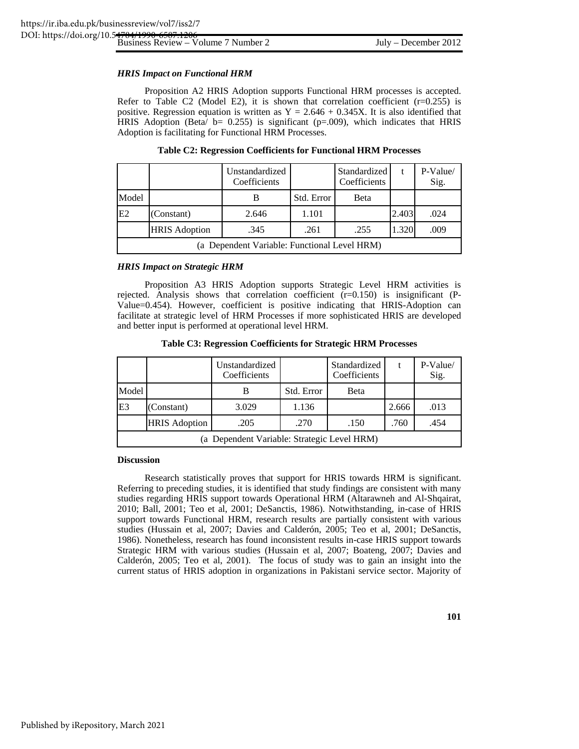#### *HRIS Impact on Functional HRM*

Proposition A2 HRIS Adoption supports Functional HRM processes is accepted. Refer to Table C2 (Model E2), it is shown that correlation coefficient  $(r=0.255)$  is positive. Regression equation is written as  $Y = 2.646 + 0.345X$ . It is also identified that HRIS Adoption (Beta/  $b = 0.255$ ) is significant ( $p=0.009$ ), which indicates that HRIS Adoption is facilitating for Functional HRM Processes.

|                                              |                      | Unstandardized<br>Coefficients |            | Standardized<br>Coefficients | t     | P-Value/<br>Sig. |
|----------------------------------------------|----------------------|--------------------------------|------------|------------------------------|-------|------------------|
| Model                                        |                      | В                              | Std. Error | <b>Beta</b>                  |       |                  |
| E2                                           | (Constant)           | 2.646                          | 1.101      |                              | 2.403 | .024             |
|                                              | <b>HRIS Adoption</b> | .345                           | .261       | .255                         | 1.320 | .009             |
| (a Dependent Variable: Functional Level HRM) |                      |                                |            |                              |       |                  |

**Table C2: Regression Coefficients for Functional HRM Processes** 

#### *HRIS Impact on Strategic HRM*

Proposition A3 HRIS Adoption supports Strategic Level HRM activities is rejected. Analysis shows that correlation coefficient  $(r=0.150)$  is insignificant (P-Value=0.454). However, coefficient is positive indicating that HRIS-Adoption can facilitate at strategic level of HRM Processes if more sophisticated HRIS are developed and better input is performed at operational level HRM.

| Table C3: Regression Coefficients for Strategic HRM Processes |  |  |
|---------------------------------------------------------------|--|--|
|                                                               |  |  |

|                                             |                      | Unstandardized<br>Coefficients |            | Standardized<br>Coefficients | t     | $P-Value/$<br>Sig. |
|---------------------------------------------|----------------------|--------------------------------|------------|------------------------------|-------|--------------------|
| Model                                       |                      | В                              | Std. Error | Beta                         |       |                    |
| E <sub>3</sub>                              | (Constant)           | 3.029                          | 1.136      |                              | 2.666 | .013               |
|                                             | <b>HRIS Adoption</b> | .205                           | .270       | .150                         | .760  | .454               |
| (a Dependent Variable: Strategic Level HRM) |                      |                                |            |                              |       |                    |

#### **Discussion**

Research statistically proves that support for HRIS towards HRM is significant. Referring to preceding studies, it is identified that study findings are consistent with many studies regarding HRIS support towards Operational HRM (Altarawneh and Al-Shqairat, 2010; Ball, 2001; Teo et al, 2001; DeSanctis, 1986). Notwithstanding, in-case of HRIS support towards Functional HRM, research results are partially consistent with various studies (Hussain et al, 2007; Davies and Calderón, 2005; Teo et al, 2001; DeSanctis, 1986). Nonetheless, research has found inconsistent results in-case HRIS support towards Strategic HRM with various studies (Hussain et al, 2007; Boateng, 2007; Davies and Calderón, 2005; Teo et al, 2001). The focus of study was to gain an insight into the current status of HRIS adoption in organizations in Pakistani service sector. Majority of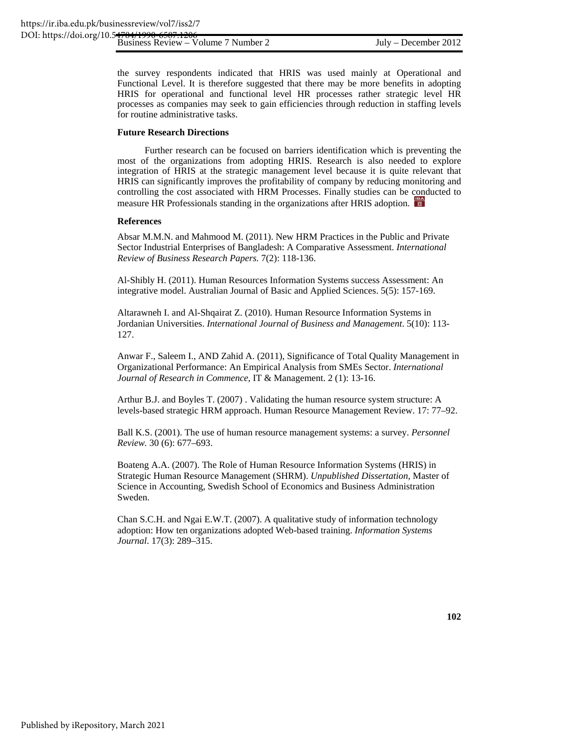the survey respondents indicated that HRIS was used mainly at Operational and Functional Level. It is therefore suggested that there may be more benefits in adopting HRIS for operational and functional level HR processes rather strategic level HR processes as companies may seek to gain efficiencies through reduction in staffing levels for routine administrative tasks.

#### **Future Research Directions**

Further research can be focused on barriers identification which is preventing the most of the organizations from adopting HRIS. Research is also needed to explore integration of HRIS at the strategic management level because it is quite relevant that HRIS can significantly improves the profitability of company by reducing monitoring and controlling the cost associated with HRM Processes. Finally studies can be conducted to measure HR Professionals standing in the organizations after HRIS adoption.

#### **References**

Absar M.M.N. and Mahmood M. (2011). New HRM Practices in the Public and Private Sector Industrial Enterprises of Bangladesh: A Comparative Assessment. *International Review of Business Research Papers.* 7(2): 118-136.

Al-Shibly H. (2011). Human Resources Information Systems success Assessment: An integrative model. Australian Journal of Basic and Applied Sciences. 5(5): 157-169.

Altarawneh I. and Al-Shqairat Z. (2010). Human Resource Information Systems in Jordanian Universities. *International Journal of Business and Management*. 5(10): 113- 127.

Anwar F., Saleem I., AND Zahid A. (2011), Significance of Total Quality Management in Organizational Performance: An Empirical Analysis from SMEs Sector. *International Journal of Research in Commence*, IT & Management. 2 (1): 13-16.

Arthur B.J. and Boyles T. (2007) . Validating the human resource system structure: A levels-based strategic HRM approach. Human Resource Management Review. 17: 77–92.

Ball K.S. (2001). The use of human resource management systems: a survey. *Personnel Review.* 30 (6): 677–693.

Boateng A.A. (2007). The Role of Human Resource Information Systems (HRIS) in Strategic Human Resource Management (SHRM). *Unpublished Dissertation*, Master of Science in Accounting, Swedish School of Economics and Business Administration Sweden.

Chan S.C.H. and Ngai E.W.T. (2007). A qualitative study of information technology adoption: How ten organizations adopted Web-based training. *Information Systems Journal*. 17(3): 289–315.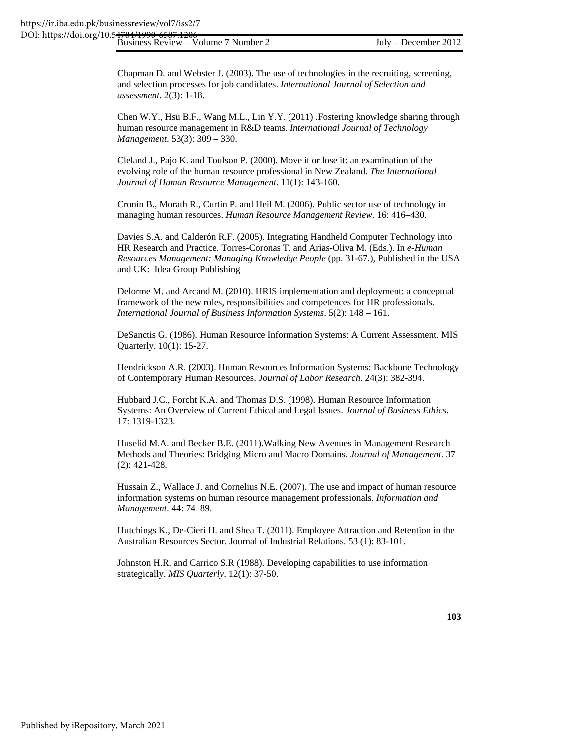Chapman D. and Webster J. (2003). The use of technologies in the recruiting, screening, and selection processes for job candidates. *International Journal of Selection and assessment*. 2(3): 1-18.

Chen W.Y., Hsu B.F., Wang M.L., Lin Y.Y. (2011) .Fostering knowledge sharing through human resource management in R&D teams. *International Journal of Technology Management*. 53(3): 309 – 330.

Cleland J., Pajo K. and Toulson P. (2000). Move it or lose it: an examination of the evolving role of the human resource professional in New Zealand. *The International Journal of Human Resource Management*. 11(1): 143-160.

Cronin B., Morath R., Curtin P. and Heil M. (2006). Public sector use of technology in managing human resources. *Human Resource Management Review*. 16: 416–430.

Davies S.A. and Calderón R.F. (2005). Integrating Handheld Computer Technology into HR Research and Practice. Torres-Coronas T. and Arias-Oliva M. (Eds.). In *e-Human Resources Management: Managing Knowledge People* (pp. 31-67.), Published in the USA and UK: Idea Group Publishing

Delorme M. and Arcand M. (2010). HRIS implementation and deployment: a conceptual framework of the new roles, responsibilities and competences for HR professionals. *International Journal of Business Information Systems*. 5(2): 148 – 161.

DeSanctis G. (1986). Human Resource Information Systems: A Current Assessment. MIS Quarterly. 10(1): 15-27.

Hendrickson A.R. (2003). Human Resources Information Systems: Backbone Technology of Contemporary Human Resources. *Journal of Labor Research*. 24(3): 382-394.

Hubbard J.C., Forcht K.A. and Thomas D.S. (1998). Human Resource Information Systems: An Overview of Current Ethical and Legal Issues. *Journal of Business Ethics*. 17: 1319-1323.

Huselid M.A. and Becker B.E. (2011).Walking New Avenues in Management Research Methods and Theories: Bridging Micro and Macro Domains. *Journal of Management*. 37 (2): 421-428.

Hussain Z., Wallace J. and Cornelius N.E. (2007). The use and impact of human resource information systems on human resource management professionals. *Information and Management*. 44: 74–89.

Hutchings K., De-Cieri H. and Shea T. (2011). Employee Attraction and Retention in the Australian Resources Sector. Journal of Industrial Relations. 53 (1): 83-101.

Johnston H.R. and Carrico S.R (1988). Developing capabilities to use information strategically. *MIS Quarterly*. 12(1): 37-50.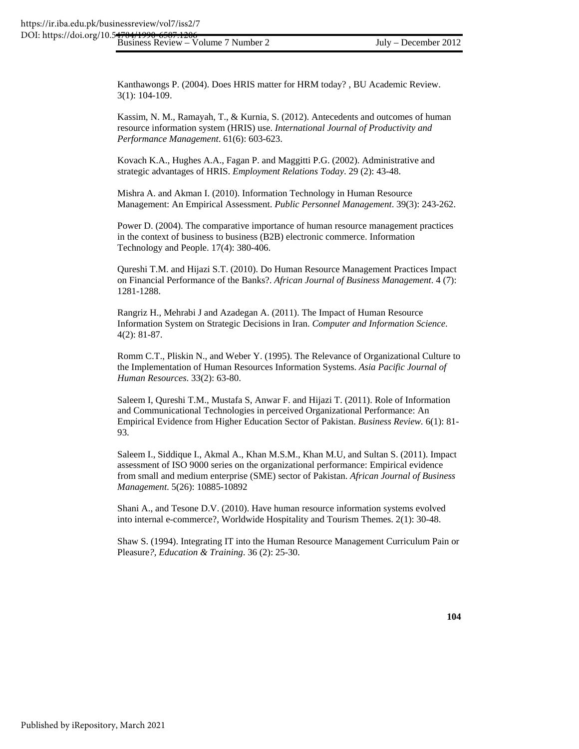Kanthawongs P. (2004). Does HRIS matter for HRM today? , BU Academic Review. 3(1): 104-109.

Kassim, N. M., Ramayah, T., & Kurnia, S. (2012). Antecedents and outcomes of human resource information system (HRIS) use. *International Journal of Productivity and Performance Management*. 61(6): 603-623.

Kovach K.A., Hughes A.A., Fagan P. and Maggitti P.G. (2002). Administrative and strategic advantages of HRIS. *Employment Relations Today*. 29 (2): 43-48.

Mishra A. and Akman I. (2010). Information Technology in Human Resource Management: An Empirical Assessment. *Public Personnel Management*. 39(3): 243-262.

Power D. (2004). The comparative importance of human resource management practices in the context of business to business (B2B) electronic commerce. Information Technology and People. 17(4): 380-406.

Qureshi T.M. and Hijazi S.T. (2010). Do Human Resource Management Practices Impact on Financial Performance of the Banks?. *African Journal of Business Management*. 4 (7): 1281-1288.

Rangriz H., Mehrabi J and Azadegan A. (2011). The Impact of Human Resource Information System on Strategic Decisions in Iran. *Computer and Information Science*. 4(2): 81-87.

Romm C.T., Pliskin N., and Weber Y. (1995). The Relevance of Organizational Culture to the Implementation of Human Resources Information Systems. *Asia Pacific Journal of Human Resources*. 33(2): 63-80.

Saleem I, Qureshi T.M., Mustafa S, Anwar F. and Hijazi T. (2011). Role of Information and Communicational Technologies in perceived Organizational Performance: An Empirical Evidence from Higher Education Sector of Pakistan. *Business Review.* 6(1): 81- 93.

Saleem I., Siddique I., Akmal A., Khan M.S.M., Khan M.U, and Sultan S. (2011). Impact assessment of ISO 9000 series on the organizational performance: Empirical evidence from small and medium enterprise (SME) sector of Pakistan. *African Journal of Business Management*. 5(26): 10885-10892

Shani A., and Tesone D.V. (2010). Have human resource information systems evolved into internal e-commerce?, Worldwide Hospitality and Tourism Themes. 2(1): 30-48.

Shaw S. (1994). Integrating IT into the Human Resource Management Curriculum Pain or Pleasure*?, Education & Training*. 36 (2): 25-30.